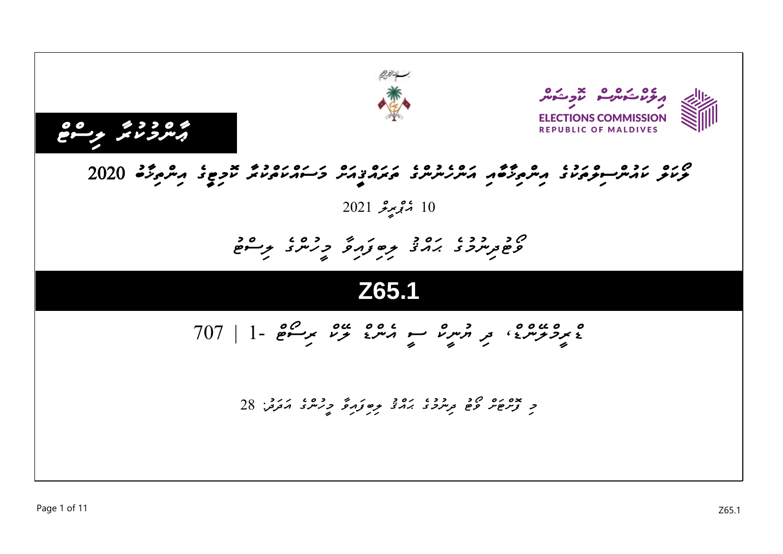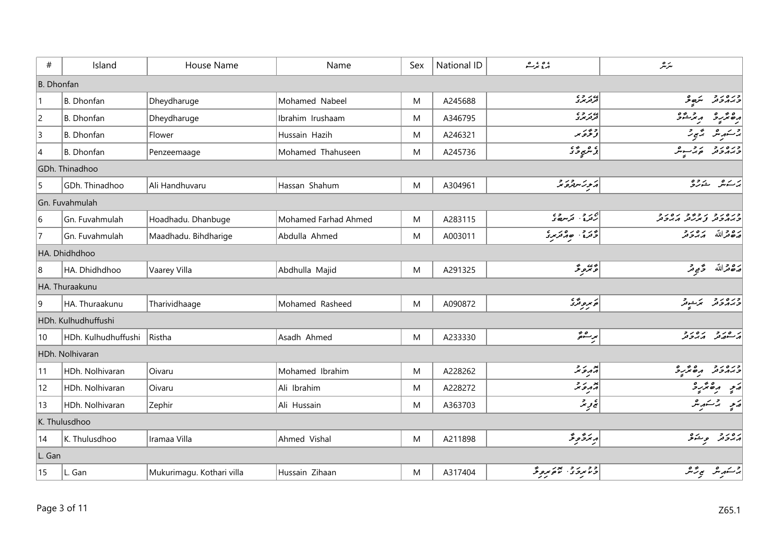| #          | Island              | House Name                | Name                 | Sex       | National ID | ، ه ، ره<br>مره برگ                   | ىئرىتر                                  |
|------------|---------------------|---------------------------|----------------------|-----------|-------------|---------------------------------------|-----------------------------------------|
| B. Dhonfan |                     |                           |                      |           |             |                                       |                                         |
|            | B. Dhonfan          | Dheydharuge               | Mohamed Nabeel       | M         | A245688     | ے پر بر بر<br>توتوبوری                | ورەرو شھۇ                               |
| 2          | B. Dhonfan          | Dheydharuge               | Ibrahim Irushaam     | M         | A346795     | دے پر برے<br>توتوموی                  | ە بۇشەھ<br>ە ھەترىر <sup>ە</sup>        |
| 3          | B. Dhonfan          | Flower                    | Hussain Hazih        | M         | A246321     | د و در<br>تونژه بر                    | ير سەر بىر بەلگەچ                       |
|            | B. Dhonfan          | Penzeemaage               | Mohamed Thahuseen    | M         | A245736     | ې ش <sub>کىچ</sub> څ <sup>ې</sup>     | ورەرو روپ                               |
|            | GDh. Thinadhoo      |                           |                      |           |             |                                       |                                         |
| 5          | GDh. Thinadhoo      | Ali Handhuvaru            | Hassan Shahum        | ${\sf M}$ | A304961     | ئەبەر ئەرەر ئەر<br>  ئەبەر ئەسەر ئەرە | برَسكاش الشرحرة                         |
|            | Gn. Fuvahmulah      |                           |                      |           |             |                                       |                                         |
| 6          | Gn. Fuvahmulah      | Hoadhadu. Dhanbuge        | Mohamed Farhad Ahmed | ${\sf M}$ | A283115     | ے ر و .<br>ریخی : کرس و ی             | כנסנכ נכשכ נסנכ<br>כגהכת צ'אנט, הגכת    |
|            | Gn. Fuvahmulah      | Maadhadu. Bihdharige      | Abdulla Ahmed        | M         | A003011     | و د د .<br>د تر . ه د ترسر .          | رەقراللە مەدرە                          |
|            | HA. Dhidhdhoo       |                           |                      |           |             |                                       |                                         |
| 8          | HA. Dhidhdhoo       | Vaarey Villa              | Abdhulla Majid       | M         | A291325     | ۇ ئۈچە ئى                             | رَصْحَرَاللّهُ دَّمِيْرَ                |
|            | HA. Thuraakunu      |                           |                      |           |             |                                       |                                         |
| 9          | HA. Thuraakunu      | Tharividhaage             | Mohamed Rasheed      | M         | A090872     | ر<br>حوسر و قری                       | ورەرو كەشەر<br><i>פەمەد قىل كەش</i> ەتر |
|            | HDh. Kulhudhuffushi |                           |                      |           |             |                                       |                                         |
| 10         | HDh. Kulhudhuffushi | Ristha                    | Asadh Ahmed          | ${\sf M}$ | A233330     | برره پح                               | ג פיג כ גם גב<br>הצעות הגבת             |
|            | HDh. Nolhivaran     |                           |                      |           |             |                                       |                                         |
| 11         | HDh. Nolhivaran     | Oivaru                    | Mohamed Ibrahim      | ${\sf M}$ | A228262     | بر مر د<br>مرمو سر                    |                                         |
| 12         | HDh. Nolhivaran     | Oivaru                    | Ali Ibrahim          | M         | A228272     | وتروننه                               | ړنو رهنگرد                              |
| 13         | HDh. Nolhivaran     | Zephir                    | Ali Hussain          | M         | A363703     | ي <sub>و م</sub> ر                    | اړَ په پر شهر مثر                       |
|            | K. Thulusdhoo       |                           |                      |           |             |                                       |                                         |
| 14         | K. Thulusdhoo       | Iramaa Villa              | Ahmed Vishal         | M         | A211898     | وبمرَدَّ و بَرَ                       | رەر دىنىۋ                               |
| L. Gan     |                     |                           |                      |           |             |                                       |                                         |
| 15         | L. Gan              | Mukurimagu. Kothari villa | Hussain Zihaan       | M         | A317404     | وو روسپورې                            | برسكهر محر بورشر                        |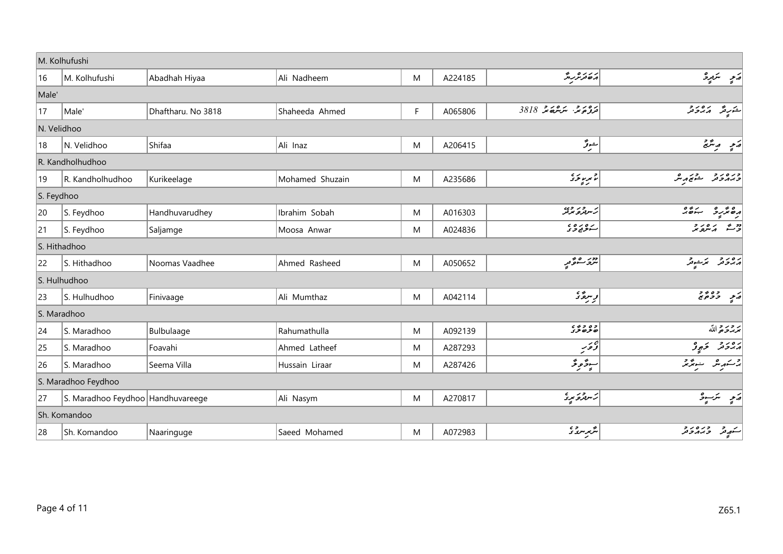|            | M. Kolhufushi                     |                    |                 |   |         |                            |                                           |
|------------|-----------------------------------|--------------------|-----------------|---|---------|----------------------------|-------------------------------------------|
| 16         | M. Kolhufushi                     | Abadhah Hiyaa      | Ali Nadheem     | M | A224185 | ئەنەر ئەرگە                | أركمت التماريح                            |
| Male'      |                                   |                    |                 |   |         |                            |                                           |
| 17         | Male'                             | Dhaftharu. No 3818 | Shaheeda Ahmed  | F | A065806 | مروم مر شريد مير 3818      | شكريگر كەرد تە                            |
|            | N. Velidhoo                       |                    |                 |   |         |                            |                                           |
| 18         | N. Velidhoo                       | Shifaa             | Ali Inaz        | M | A206415 | شورٌ                       | أوسمح ويتنج                               |
|            | R. Kandholhudhoo                  |                    |                 |   |         |                            |                                           |
| 19         | R. Kandholhudhoo                  | Kurikeelage        | Mohamed Shuzain | M | A235686 | تړیږی تر <sup>ي</sup>      | و رە ر د<br><i>د بە</i> پەر<br>ىشقىم بەشر |
| S. Feydhoo |                                   |                    |                 |   |         |                            |                                           |
| 20         | S. Feydhoo                        | Handhuvarudhey     | Ibrahim Sobah   | M | A016303 | ر سرچ ر وي<br>ر سرچري برټر | $20 - 7$<br>ەرھەترىر <sup>ى</sup>         |
| 21         | S. Feydhoo                        | Saljamge           | Moosa Anwar     | M | A024836 | ر ره د ه ،<br>ستوقع و د    | وحث كرعد و                                |
|            | S. Hithadhoo                      |                    |                 |   |         |                            |                                           |
| 22         | S. Hithadhoo                      | Noomas Vaadhee     | Ahmed Rasheed   | M | A050652 | <br> سرچرےوگیر             | رەر ئەشىر                                 |
|            | S. Hulhudhoo                      |                    |                 |   |         |                            |                                           |
| 23         | S. Hulhudhoo                      | Finivaage          | Ali Mumthaz     | M | A042114 | و سرچ <sup>ي</sup>         | ړې ده ده                                  |
|            | S. Maradhoo                       |                    |                 |   |         |                            |                                           |
| 24         | S. Maradhoo                       | Bulbulaage         | Rahumathulla    | M | A092139 | د ه د د »<br>مه نور        | بروبر والله                               |
| 25         | S. Maradhoo                       | Foavahi            | Ahmed Latheef   | M | A287293 | تۇغ <sup>ىر</sup>          | رەرد كەرە                                 |
| 26         | S. Maradhoo                       | Seema Villa        | Hussain Liraar  | M | A287426 | سوڈ وِ ڈ                   | بركسكور سيتمرس                            |
|            | S. Maradhoo Feydhoo               |                    |                 |   |         |                            |                                           |
| 27         | S. Maradhoo Feydhoo Handhuvareege |                    | Ali Nasym       | M | A270817 | ئەس <i>بەرى بې</i> رى      | أركمني الكرسوق                            |
|            | Sh. Komandoo                      |                    |                 |   |         |                            |                                           |
| 28         | Sh. Komandoo                      | Naaringuge         | Saeed Mohamed   | M | A072983 | شر رسور                    | و ر ه ر د<br>تر پر پر تر<br>سكهرتر        |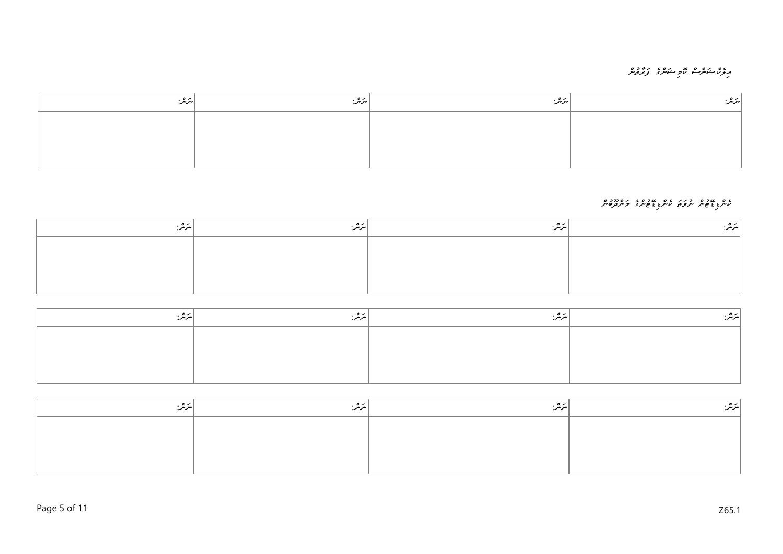## *w7qAn8m?sCw7mRo>u;wEw7mRw;sBo<*

| ' مرمر | 'يئرىثر: |
|--------|----------|
|        |          |
|        |          |
|        |          |

## *w7q9r@w7m>sCw7qHtFoFw7s;mAm=q7w7qHtFoFw7s;*

| يە يە | $\frac{2}{n}$ | ىر تىر. | لترتثر |
|-------|---------------|---------|--------|
|       |               |         |        |
|       |               |         |        |
|       |               |         |        |

| $\frac{2}{n}$ | $\overline{\phantom{a}}$ | اير هنه. | $\mathcal{O} \times$<br>سرسر |
|---------------|--------------------------|----------|------------------------------|
|               |                          |          |                              |
|               |                          |          |                              |
|               |                          |          |                              |

| ' ئىرتىر: | سر سر |  |
|-----------|-------|--|
|           |       |  |
|           |       |  |
|           |       |  |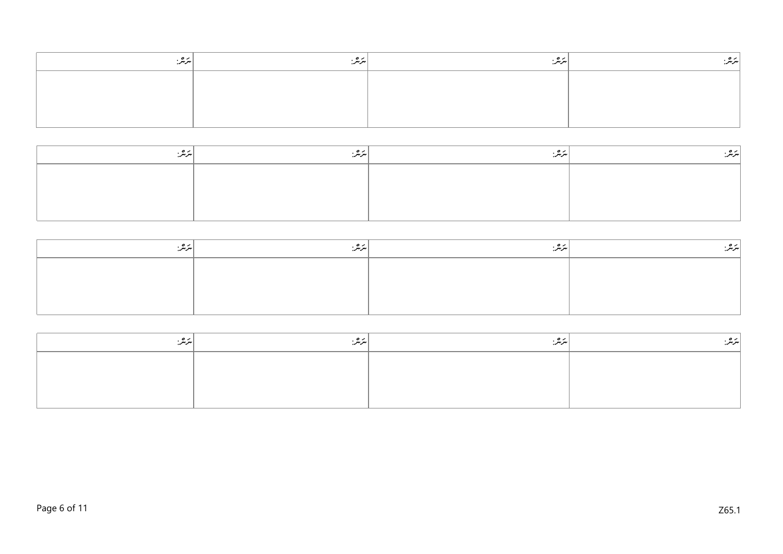| يره. | ο. | ا ير ه |  |
|------|----|--------|--|
|      |    |        |  |
|      |    |        |  |
|      |    |        |  |

| متريثر به | 。<br>'سرسر'۔ | يتزيترا | سرسر |
|-----------|--------------|---------|------|
|           |              |         |      |
|           |              |         |      |
|           |              |         |      |

| ىئرىتر. | $\sim$ | ا بر هه. | لىرىش |
|---------|--------|----------|-------|
|         |        |          |       |
|         |        |          |       |
|         |        |          |       |

| 。<br>مرس. | $\overline{\phantom{a}}$<br>مر مىر | ىرىر |
|-----------|------------------------------------|------|
|           |                                    |      |
|           |                                    |      |
|           |                                    |      |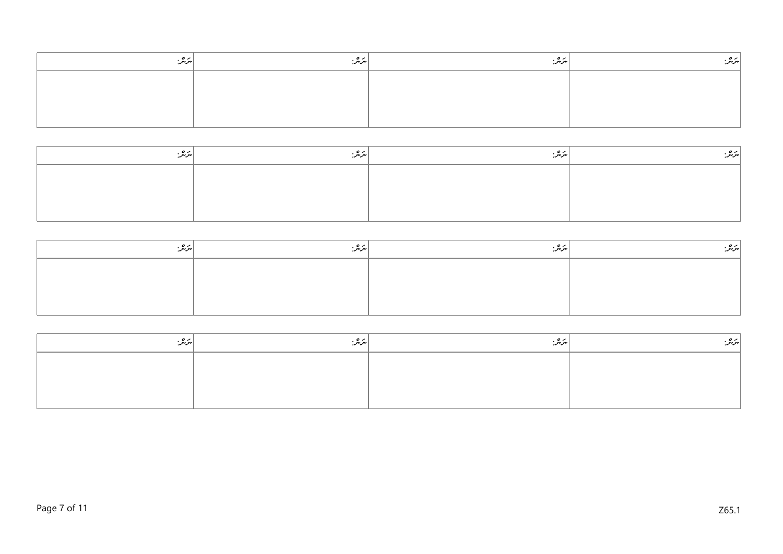| ير هو . | $\overline{\phantom{a}}$ | يرمر | اير هنه. |
|---------|--------------------------|------|----------|
|         |                          |      |          |
|         |                          |      |          |
|         |                          |      |          |

| ىر تىر: | $\circ$ $\sim$<br>" سرسر . | يترمير | o . |
|---------|----------------------------|--------|-----|
|         |                            |        |     |
|         |                            |        |     |
|         |                            |        |     |

| 'تترنثر: | 。<br>,,,, |  |
|----------|-----------|--|
|          |           |  |
|          |           |  |
|          |           |  |

|  | . ه |
|--|-----|
|  |     |
|  |     |
|  |     |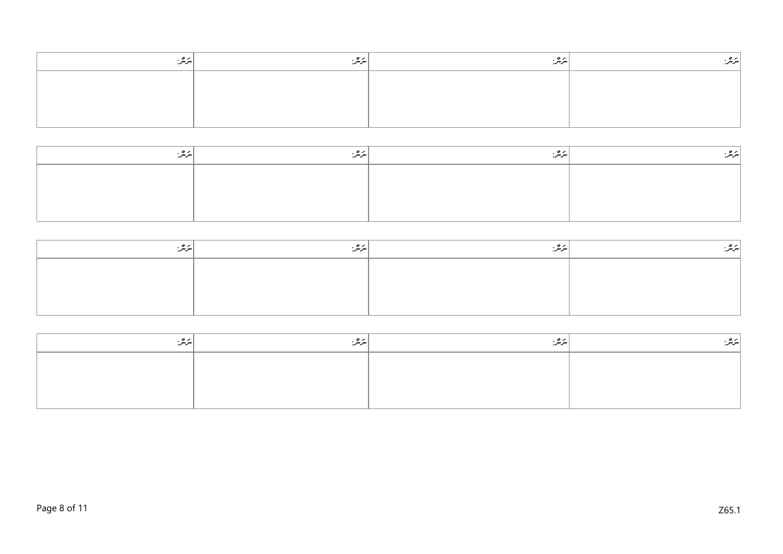| ير هو . | $\overline{\phantom{a}}$ | يرمر | اير هنه. |
|---------|--------------------------|------|----------|
|         |                          |      |          |
|         |                          |      |          |
|         |                          |      |          |

| ىر تىر: | $\circ$ $\sim$<br>" سرسر . | يترمير | o . |
|---------|----------------------------|--------|-----|
|         |                            |        |     |
|         |                            |        |     |
|         |                            |        |     |

| 'تترنثر: | 。<br>,,,, |  |
|----------|-----------|--|
|          |           |  |
|          |           |  |
|          |           |  |

|  | . ه |
|--|-----|
|  |     |
|  |     |
|  |     |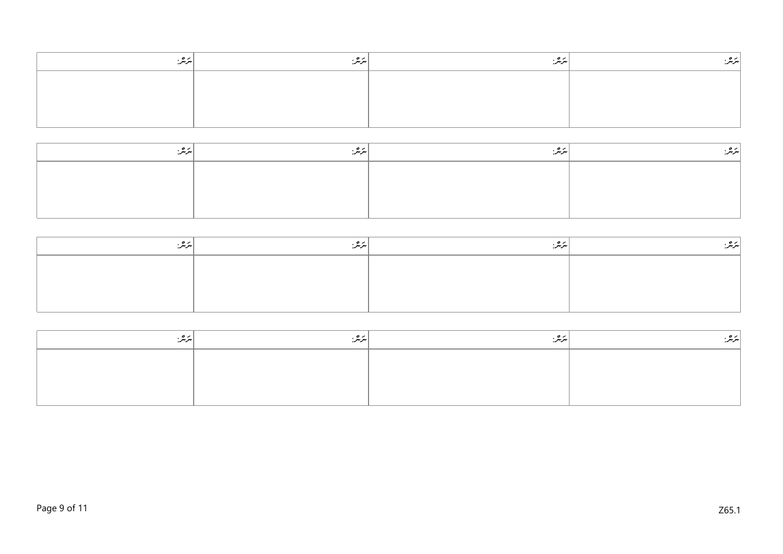| $\cdot$ | 。 | $\frac{\circ}{\cdot}$ | $\sim$<br>سرسر |
|---------|---|-----------------------|----------------|
|         |   |                       |                |
|         |   |                       |                |
|         |   |                       |                |

| يريثن | ' سرسر . |  |
|-------|----------|--|
|       |          |  |
|       |          |  |
|       |          |  |

| بر ه | 。 | $\overline{\phantom{0}}$<br>َ سومس. |  |
|------|---|-------------------------------------|--|
|      |   |                                     |  |
|      |   |                                     |  |
|      |   |                                     |  |

| 。<br>. س | ىرىىر |  |
|----------|-------|--|
|          |       |  |
|          |       |  |
|          |       |  |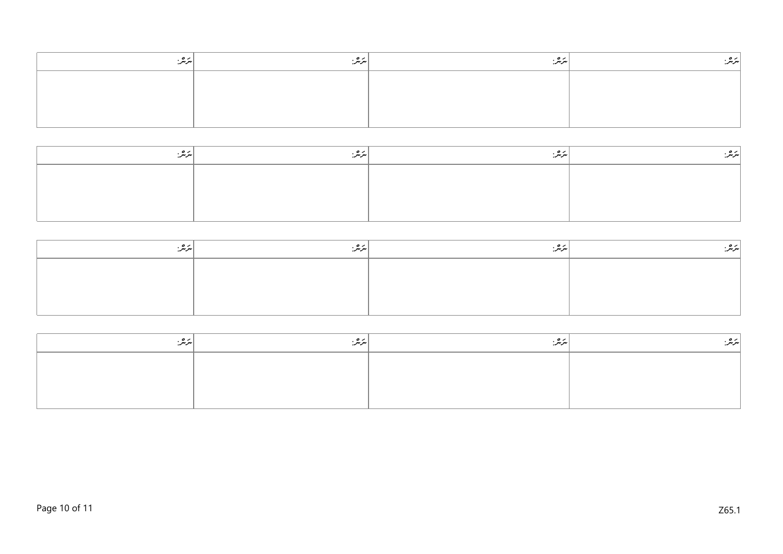| ير هو . | $\overline{\phantom{a}}$ | يرمر | اير هنه. |
|---------|--------------------------|------|----------|
|         |                          |      |          |
|         |                          |      |          |
|         |                          |      |          |

| ئىرتىر: | $\sim$<br>ا سرسر . | يئرمثر | o . |
|---------|--------------------|--------|-----|
|         |                    |        |     |
|         |                    |        |     |
|         |                    |        |     |

| 。 | . .<br>سمرسمد. | ىئرىتىز: |
|---|----------------|----------|
|   |                |          |
|   |                |          |
|   |                |          |

|  | . ه |
|--|-----|
|  |     |
|  |     |
|  |     |